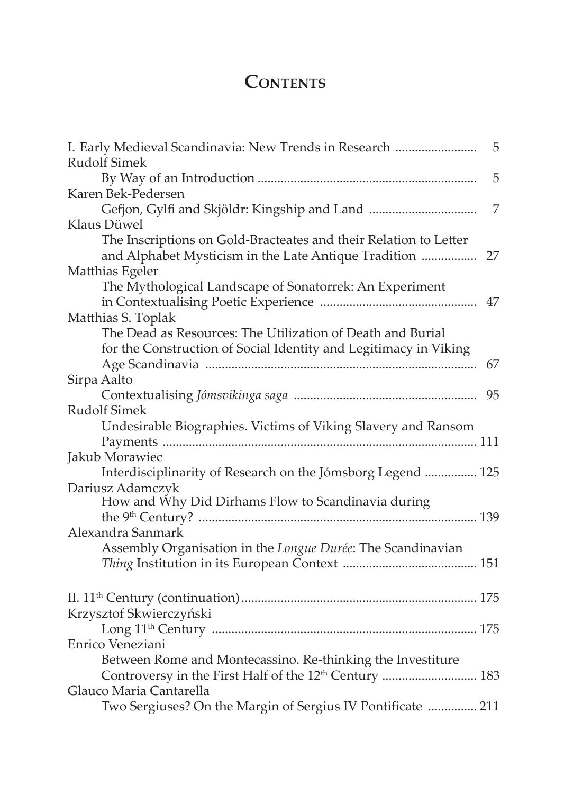## **Contents**

| I. Early Medieval Scandinavia: New Trends in Research                                                                    | 5  |
|--------------------------------------------------------------------------------------------------------------------------|----|
| <b>Rudolf Simek</b>                                                                                                      |    |
|                                                                                                                          | 5  |
| Karen Bek-Pedersen                                                                                                       |    |
|                                                                                                                          | 7  |
| Klaus Düwel                                                                                                              |    |
| The Inscriptions on Gold-Bracteates and their Relation to Letter<br>and Alphabet Mysticism in the Late Antique Tradition | 27 |
| Matthias Egeler                                                                                                          |    |
| The Mythological Landscape of Sonatorrek: An Experiment                                                                  |    |
| .                                                                                                                        | 47 |
| Matthias S. Toplak                                                                                                       |    |
| The Dead as Resources: The Utilization of Death and Burial                                                               |    |
| for the Construction of Social Identity and Legitimacy in Viking                                                         |    |
|                                                                                                                          | 67 |
| Sirpa Aalto                                                                                                              |    |
|                                                                                                                          | 95 |
| <b>Rudolf Simek</b>                                                                                                      |    |
| Undesirable Biographies. Victims of Viking Slavery and Ransom                                                            |    |
|                                                                                                                          |    |
| Jakub Morawiec                                                                                                           |    |
| Interdisciplinarity of Research on the Jómsborg Legend  125                                                              |    |
| Dariusz Adamczyk                                                                                                         |    |
| How and Why Did Dirhams Flow to Scandinavia during                                                                       |    |
|                                                                                                                          |    |
| Alexandra Sanmark                                                                                                        |    |
| Assembly Organisation in the Longue Durée: The Scandinavian                                                              |    |
|                                                                                                                          |    |
|                                                                                                                          |    |
| Krzysztof Skwierczyński                                                                                                  |    |
|                                                                                                                          |    |
| Enrico Veneziani                                                                                                         |    |
| Between Rome and Montecassino. Re-thinking the Investiture                                                               |    |
| Controversy in the First Half of the 12 <sup>th</sup> Century  183                                                       |    |
| Glauco Maria Cantarella                                                                                                  |    |
| Two Sergiuses? On the Margin of Sergius IV Pontificate  211                                                              |    |